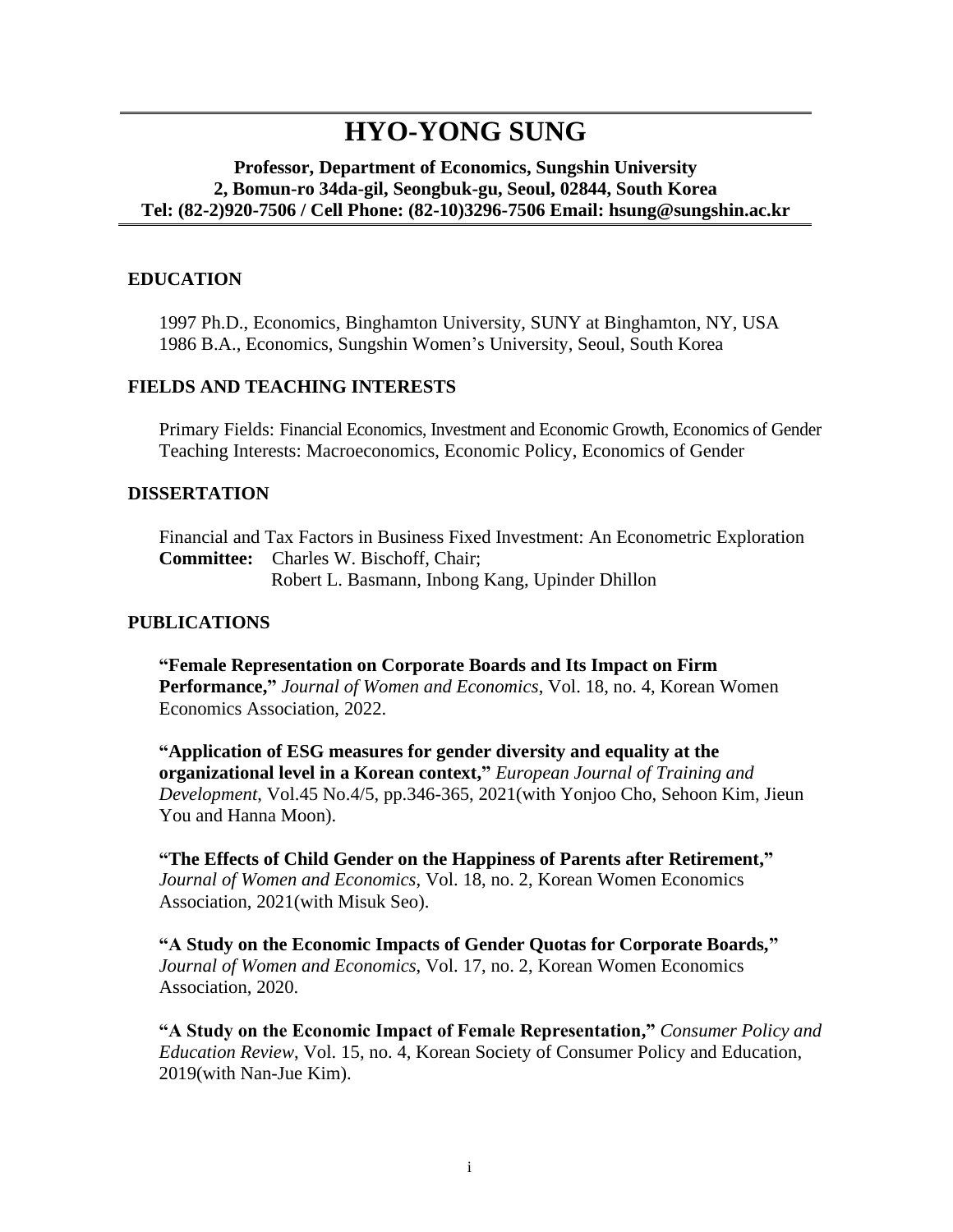# **HYO-YONG SUNG**

#### **Professor, Department of Economics, Sungshin University 2, Bomun-ro 34da-gil, Seongbuk-gu, Seoul, 02844, South Korea Tel: (82-2)920-7506 / Cell Phone: (82-10)3296-7506 Email: hsung@sungshin.ac.kr**

### **EDUCATION**

1997 Ph.D., Economics, Binghamton University, SUNY at Binghamton, NY, USA 1986 B.A., Economics, Sungshin Women's University, Seoul, South Korea

#### **FIELDS AND TEACHING INTERESTS**

Primary Fields: Financial Economics, Investment and Economic Growth, Economics of Gender Teaching Interests: Macroeconomics, Economic Policy, Economics of Gender

#### **DISSERTATION**

Financial and Tax Factors in Business Fixed Investment: An Econometric Exploration **Committee:** Charles W. Bischoff, Chair; Robert L. Basmann, Inbong Kang, Upinder Dhillon

#### **PUBLICATIONS**

**"Female Representation on Corporate Boards and Its Impact on Firm Performance,"** *Journal of Women and Economics*, Vol. 18, no. 4, Korean Women Economics Association, 2022.

**"Application of ESG measures for gender diversity and equality at the organizational level in a Korean context,"** *European Journal of Training and Development*, Vol.45 No.4/5, pp.346-365, 2021(with Yonjoo Cho, Sehoon Kim, Jieun You and Hanna Moon).

**"The Effects of Child Gender on the Happiness of Parents after Retirement,"** *Journal of Women and Economics*, Vol. 18, no. 2, Korean Women Economics Association, 2021(with Misuk Seo).

**"A Study on the Economic Impacts of Gender Quotas for Corporate Boards,"** *Journal of Women and Economics*, Vol. 17, no. 2, Korean Women Economics Association, 2020.

**"A Study on the Economic Impact of Female Representation,"** *Consumer Policy and Education Review*, Vol. 15, no. 4, Korean Society of Consumer Policy and Education, 2019(with Nan-Jue Kim).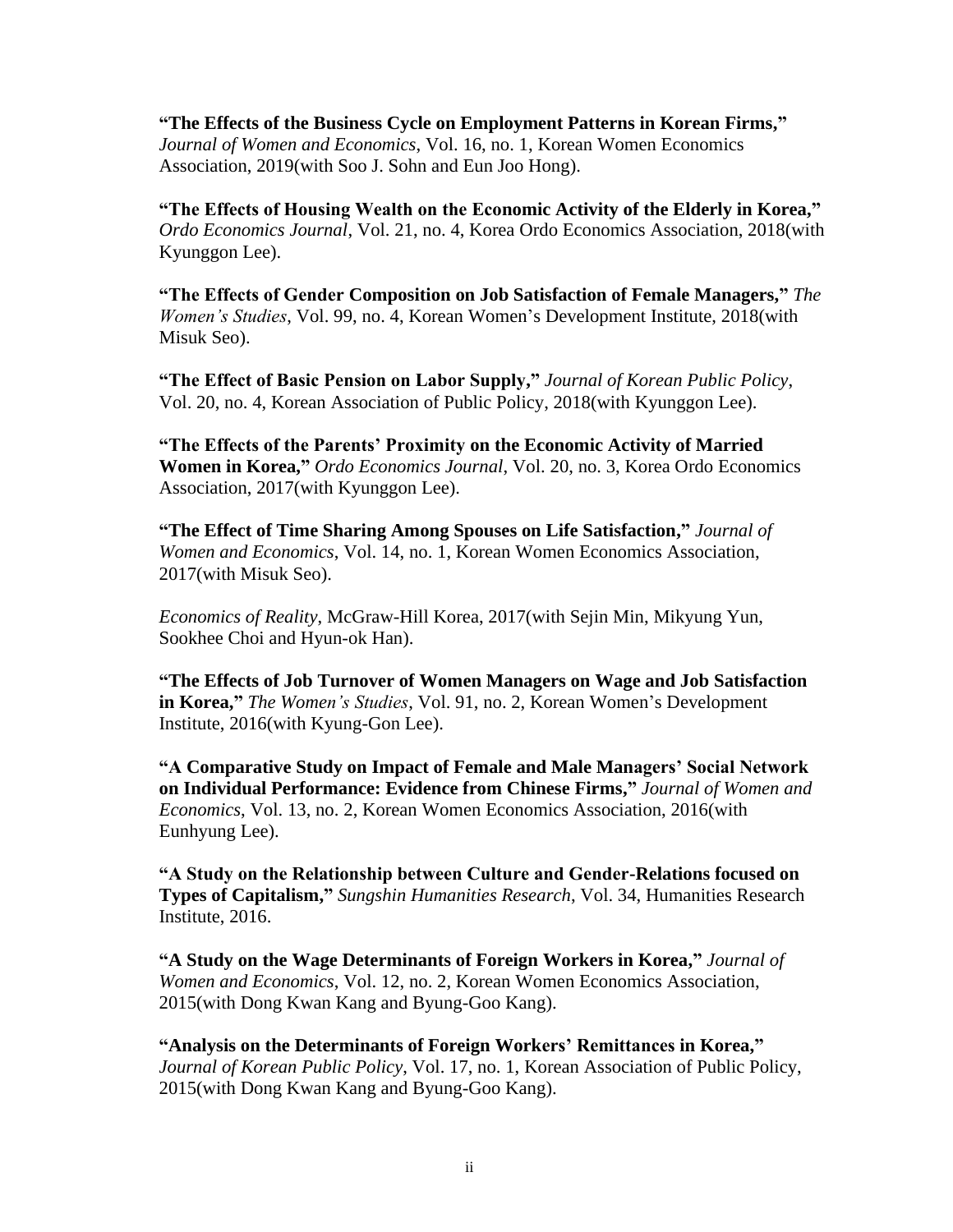**"The Effects of the Business Cycle on Employment Patterns in Korean Firms,"** *Journal of Women and Economics*, Vol. 16, no. 1, Korean Women Economics Association, 2019(with Soo J. Sohn and Eun Joo Hong).

**"The Effects of Housing Wealth on the Economic Activity of the Elderly in Korea,"** *Ordo Economics Journal*, Vol. 21, no. 4, Korea Ordo Economics Association, 2018(with Kyunggon Lee).

**"The Effects of Gender Composition on Job Satisfaction of Female Managers,"** *The Women's Studies*, Vol. 99, no. 4, Korean Women's Development Institute, 2018(with Misuk Seo).

**"The Effect of Basic Pension on Labor Supply,"** *Journal of Korean Public Policy*, Vol. 20, no. 4, Korean Association of Public Policy, 2018(with Kyunggon Lee).

**"The Effects of the Parents' Proximity on the Economic Activity of Married Women in Korea,"** *Ordo Economics Journal*, Vol. 20, no. 3, Korea Ordo Economics Association, 2017(with Kyunggon Lee).

**"The Effect of Time Sharing Among Spouses on Life Satisfaction,"** *Journal of Women and Economics*, Vol. 14, no. 1, Korean Women Economics Association, 2017(with Misuk Seo).

*Economics of Reality*, McGraw-Hill Korea, 2017(with Sejin Min, Mikyung Yun, Sookhee Choi and Hyun-ok Han).

**"The Effects of Job Turnover of Women Managers on Wage and Job Satisfaction in Korea,"** *The Women's Studies*, Vol. 91, no. 2, Korean Women's Development Institute, 2016(with Kyung-Gon Lee).

**"A Comparative Study on Impact of Female and Male Managers' Social Network on Individual Performance: Evidence from Chinese Firms,"** *Journal of Women and Economics*, Vol. 13, no. 2, Korean Women Economics Association, 2016(with Eunhyung Lee).

**"A Study on the Relationship between Culture and Gender-Relations focused on Types of Capitalism,"** *Sungshin Humanities Research*, Vol. 34, Humanities Research Institute, 2016.

**"A Study on the Wage Determinants of Foreign Workers in Korea,"** *Journal of Women and Economics*, Vol. 12, no. 2, Korean Women Economics Association, 2015(with Dong Kwan Kang and Byung-Goo Kang).

**"Analysis on the Determinants of Foreign Workers' Remittances in Korea,"** *Journal of Korean Public Policy*, Vol. 17, no. 1, Korean Association of Public Policy, 2015(with Dong Kwan Kang and Byung-Goo Kang).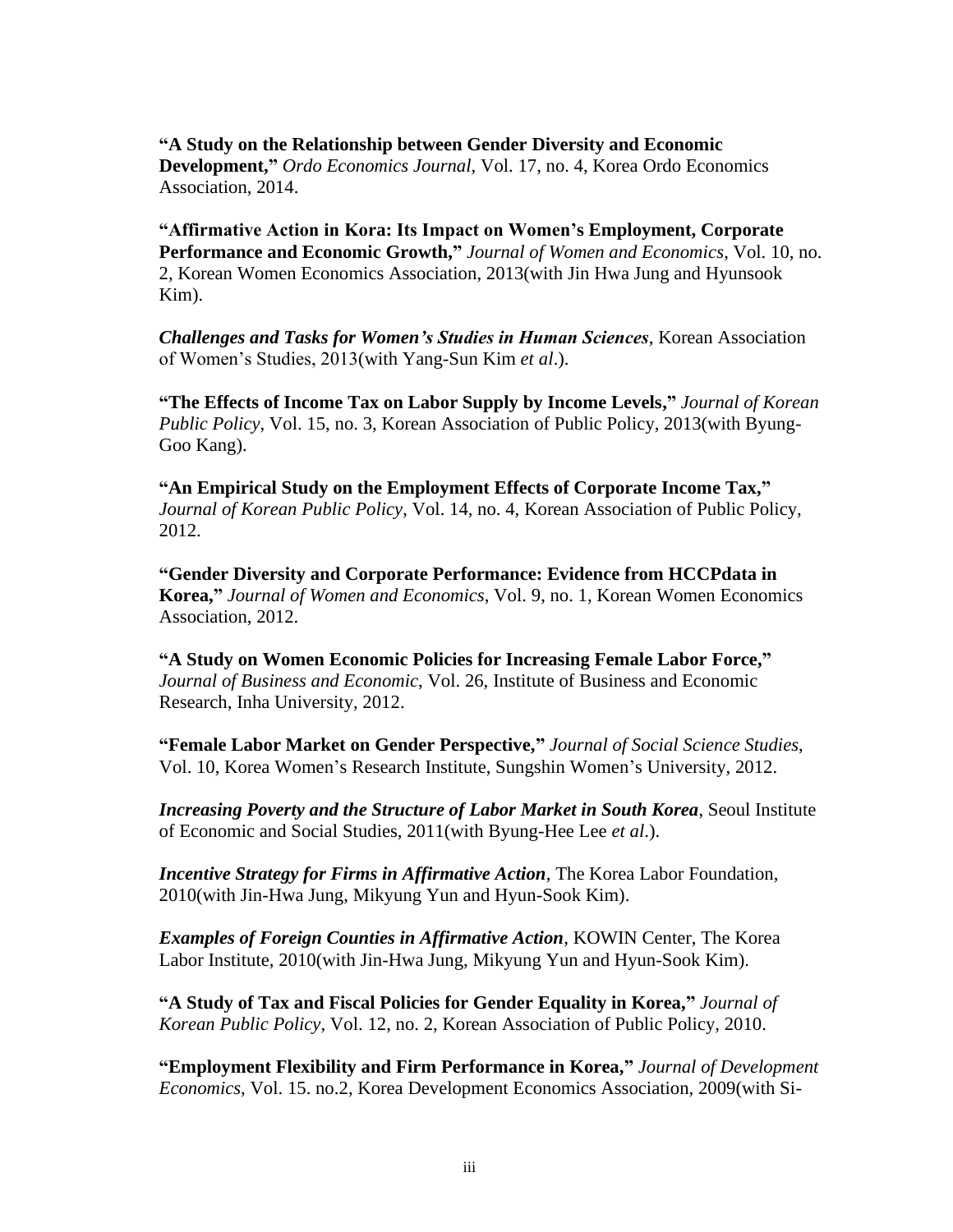**"A Study on the Relationship between Gender Diversity and Economic Development,"** *Ordo Economics Journal*, Vol. 17, no. 4, Korea Ordo Economics Association, 2014.

**"Affirmative Action in Kora: Its Impact on Women's Employment, Corporate Performance and Economic Growth,"** *Journal of Women and Economics*, Vol. 10, no. 2, Korean Women Economics Association, 2013(with Jin Hwa Jung and Hyunsook Kim).

*Challenges and Tasks for Women's Studies in Human Sciences*, Korean Association of Women's Studies, 2013(with Yang-Sun Kim *et al*.).

**"The Effects of Income Tax on Labor Supply by Income Levels,"** *Journal of Korean Public Policy*, Vol. 15, no. 3, Korean Association of Public Policy, 2013(with Byung-Goo Kang).

**"An Empirical Study on the Employment Effects of Corporate Income Tax,"** *Journal of Korean Public Policy*, Vol. 14, no. 4, Korean Association of Public Policy, 2012.

**"Gender Diversity and Corporate Performance: Evidence from HCCPdata in Korea,"** *Journal of Women and Economics*, Vol. 9, no. 1, Korean Women Economics Association, 2012.

**"A Study on Women Economic Policies for Increasing Female Labor Force,"** *Journal of Business and Economic*, Vol. 26, Institute of Business and Economic Research, Inha University, 2012.

**"Female Labor Market on Gender Perspective,"** *Journal of Social Science Studies*, Vol. 10, Korea Women's Research Institute, Sungshin Women's University, 2012.

*Increasing Poverty and the Structure of Labor Market in South Korea*, Seoul Institute of Economic and Social Studies, 2011(with Byung-Hee Lee *et al*.).

*Incentive Strategy for Firms in Affirmative Action*, The Korea Labor Foundation, 2010(with Jin-Hwa Jung, Mikyung Yun and Hyun-Sook Kim).

*Examples of Foreign Counties in Affirmative Action*, KOWIN Center, The Korea Labor Institute, 2010(with Jin-Hwa Jung, Mikyung Yun and Hyun-Sook Kim).

**"A Study of Tax and Fiscal Policies for Gender Equality in Korea,"** *Journal of Korean Public Policy*, Vol. 12, no. 2, Korean Association of Public Policy, 2010.

**"Employment Flexibility and Firm Performance in Korea,"** *Journal of Development Economics*, Vol. 15. no.2, Korea Development Economics Association, 2009(with Si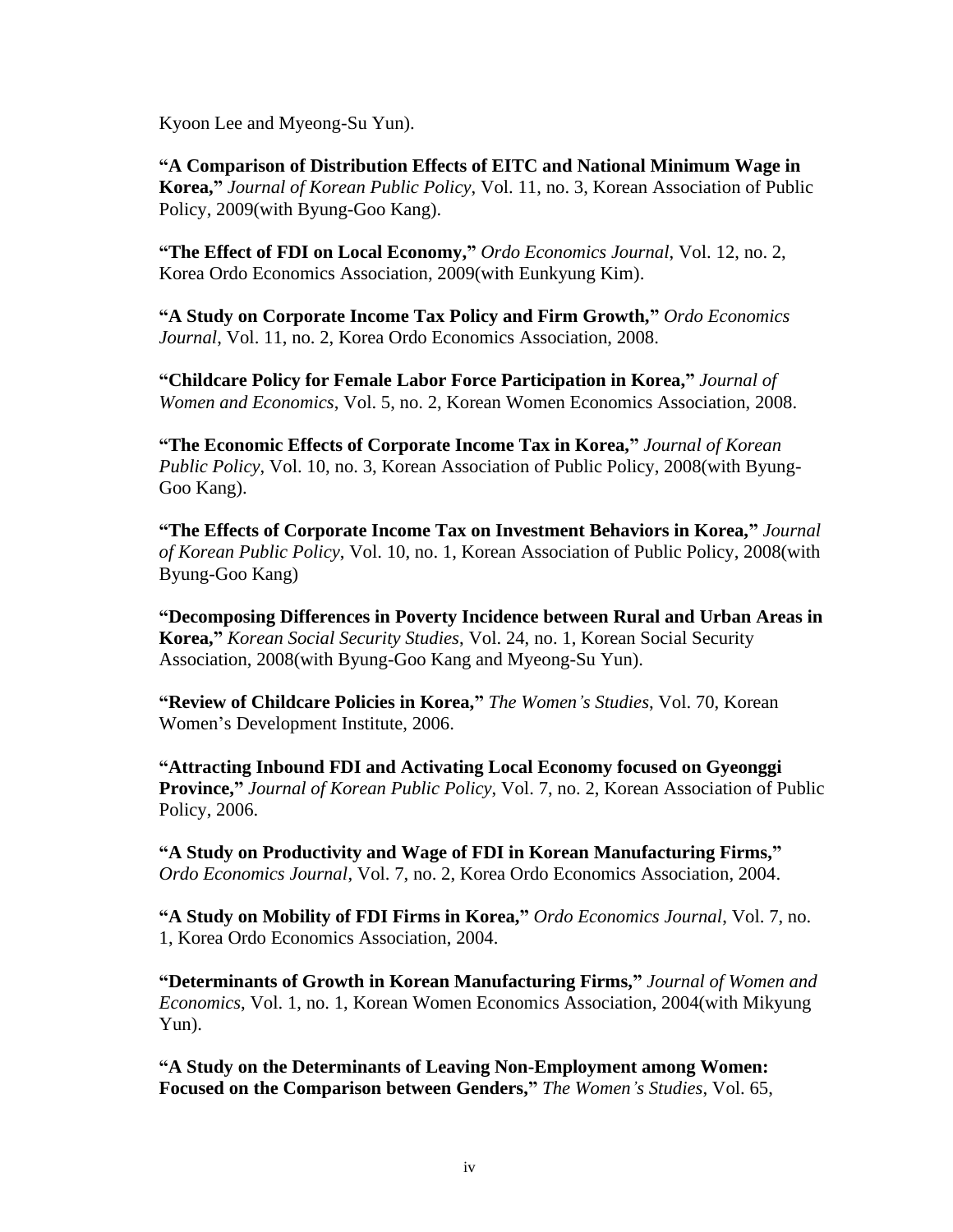Kyoon Lee and Myeong-Su Yun).

**"A Comparison of Distribution Effects of EITC and National Minimum Wage in Korea,"** *Journal of Korean Public Policy*, Vol. 11, no. 3, Korean Association of Public Policy, 2009(with Byung-Goo Kang).

**"The Effect of FDI on Local Economy,"** *Ordo Economics Journal*, Vol. 12, no. 2, Korea Ordo Economics Association, 2009(with Eunkyung Kim).

**"A Study on Corporate Income Tax Policy and Firm Growth,"** *Ordo Economics Journal*, Vol. 11, no. 2, Korea Ordo Economics Association, 2008.

**"Childcare Policy for Female Labor Force Participation in Korea,"** *Journal of Women and Economics*, Vol. 5, no. 2, Korean Women Economics Association, 2008.

**"The Economic Effects of Corporate Income Tax in Korea,"** *Journal of Korean Public Policy*, Vol. 10, no. 3, Korean Association of Public Policy, 2008(with Byung-Goo Kang).

**"The Effects of Corporate Income Tax on Investment Behaviors in Korea,"** *Journal of Korean Public Policy*, Vol. 10, no. 1, Korean Association of Public Policy, 2008(with Byung-Goo Kang)

**"Decomposing Differences in Poverty Incidence between Rural and Urban Areas in Korea,"** *Korean Social Security Studies*, Vol. 24, no. 1, Korean Social Security Association, 2008(with Byung-Goo Kang and Myeong-Su Yun).

**"Review of Childcare Policies in Korea,"** *The Women's Studies*, Vol. 70, Korean Women's Development Institute, 2006.

**"Attracting Inbound FDI and Activating Local Economy focused on Gyeonggi Province,"** *Journal of Korean Public Policy*, Vol. 7, no. 2, Korean Association of Public Policy, 2006.

**"A Study on Productivity and Wage of FDI in Korean Manufacturing Firms,"** *Ordo Economics Journal*, Vol. 7, no. 2, Korea Ordo Economics Association, 2004.

**"A Study on Mobility of FDI Firms in Korea,"** *Ordo Economics Journal*, Vol. 7, no. 1, Korea Ordo Economics Association, 2004.

**"Determinants of Growth in Korean Manufacturing Firms,"** *Journal of Women and Economics*, Vol. 1, no. 1, Korean Women Economics Association, 2004(with Mikyung Yun).

**"A Study on the Determinants of Leaving Non-Employment among Women: Focused on the Comparison between Genders,"** *The Women's Studies*, Vol. 65,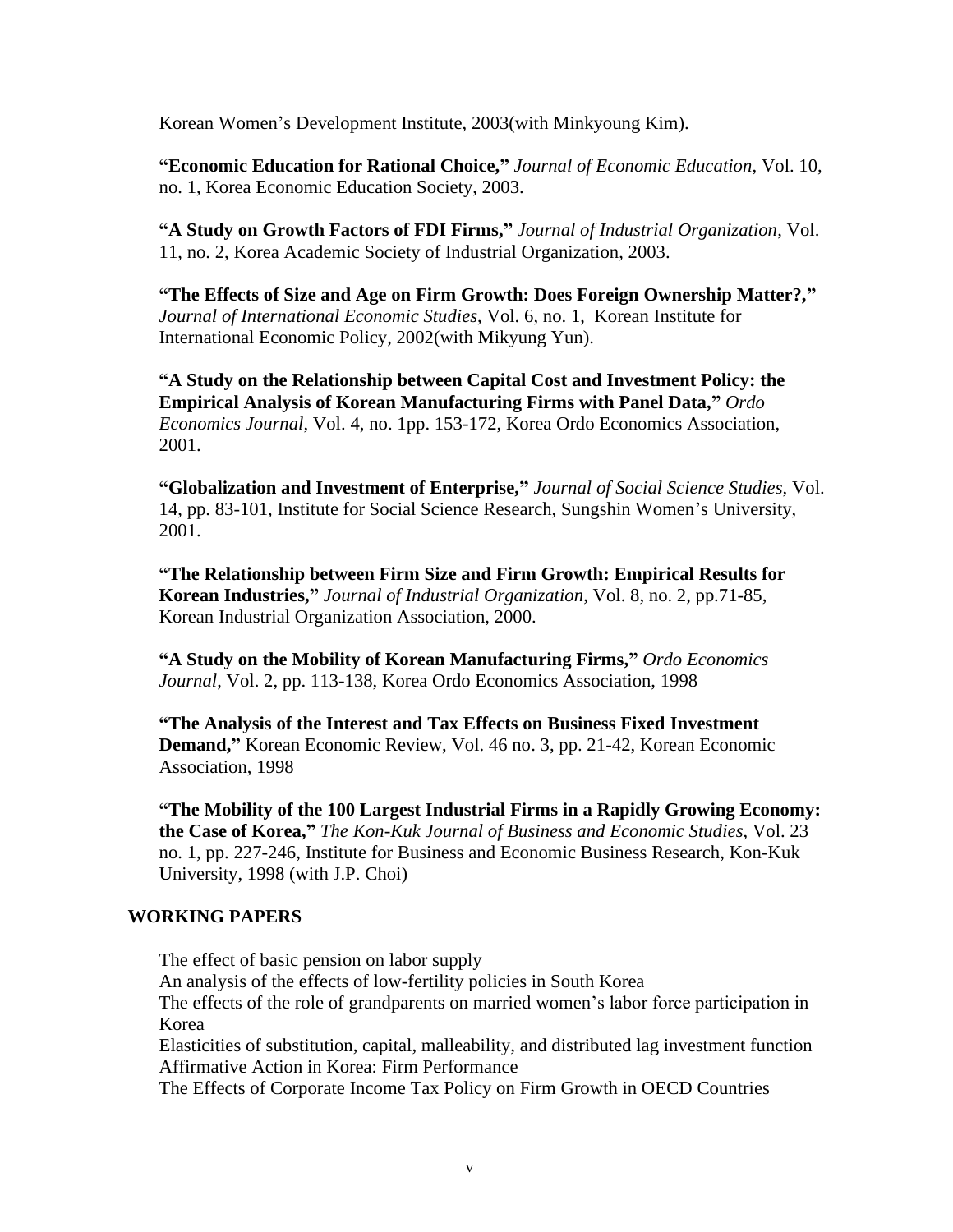Korean Women's Development Institute, 2003(with Minkyoung Kim).

**"Economic Education for Rational Choice,"** *Journal of Economic Education*, Vol. 10, no. 1, Korea Economic Education Society, 2003.

**"A Study on Growth Factors of FDI Firms,"** *Journal of Industrial Organization*, Vol. 11, no. 2, Korea Academic Society of Industrial Organization, 2003.

**"The Effects of Size and Age on Firm Growth: Does Foreign Ownership Matter?,"** *Journal of International Economic Studies*, Vol. 6, no. 1, Korean Institute for International Economic Policy, 2002(with Mikyung Yun).

**"A Study on the Relationship between Capital Cost and Investment Policy: the Empirical Analysis of Korean Manufacturing Firms with Panel Data,"** *Ordo Economics Journal*, Vol. 4, no. 1pp. 153-172, Korea Ordo Economics Association, 2001.

**"Globalization and Investment of Enterprise,"** *Journal of Social Science Studies*, Vol. 14, pp. 83-101, Institute for Social Science Research, Sungshin Women's University, 2001.

**"The Relationship between Firm Size and Firm Growth: Empirical Results for Korean Industries,"** *Journal of Industrial Organization*, Vol. 8, no. 2, pp.71-85, Korean Industrial Organization Association, 2000.

**"A Study on the Mobility of Korean Manufacturing Firms,"** *Ordo Economics Journal*, Vol. 2, pp. 113-138, Korea Ordo Economics Association, 1998

**"The Analysis of the Interest and Tax Effects on Business Fixed Investment Demand,"** Korean Economic Review, Vol. 46 no. 3, pp. 21-42, Korean Economic Association, 1998

**"The Mobility of the 100 Largest Industrial Firms in a Rapidly Growing Economy: the Case of Korea,"** *The Kon-Kuk Journal of Business and Economic Studies*, Vol. 23 no. 1, pp. 227-246, Institute for Business and Economic Business Research, Kon-Kuk University, 1998 (with J.P. Choi)

#### **WORKING PAPERS**

The effect of basic pension on labor supply

An analysis of the effects of low-fertility policies in South Korea

The effects of the role of grandparents on married women's labor force participation in Korea

Elasticities of substitution, capital, malleability, and distributed lag investment function Affirmative Action in Korea: Firm Performance

The Effects of Corporate Income Tax Policy on Firm Growth in OECD Countries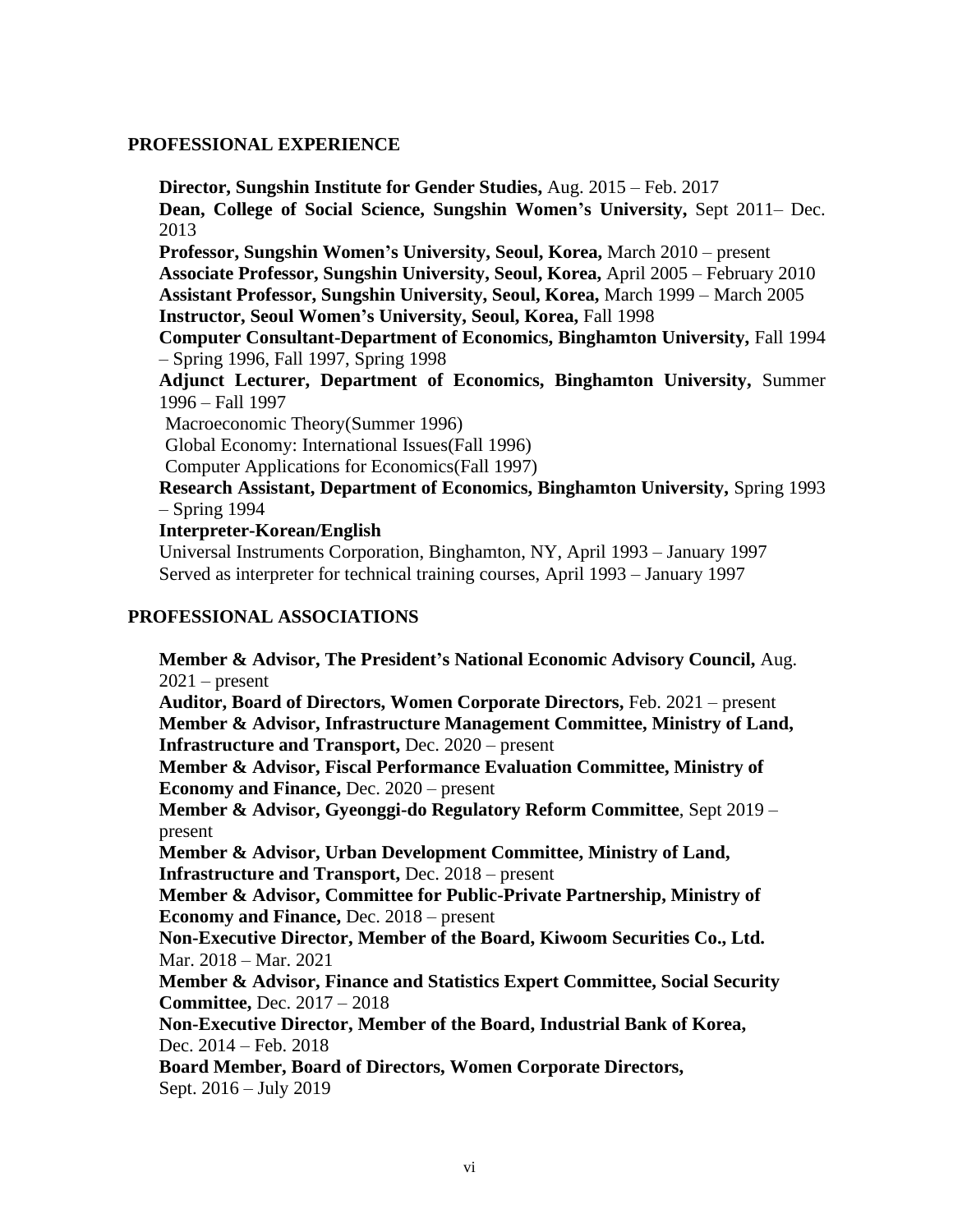#### **PROFESSIONAL EXPERIENCE**

**Director, Sungshin Institute for Gender Studies,** Aug. 2015 – Feb. 2017 **Dean, College of Social Science, Sungshin Women's University,** Sept 2011– Dec. 2013 **Professor, Sungshin Women's University, Seoul, Korea,** March 2010 – present **Associate Professor, Sungshin University, Seoul, Korea,** April 2005 – February 2010 **Assistant Professor, Sungshin University, Seoul, Korea,** March 1999 – March 2005 **Instructor, Seoul Women's University, Seoul, Korea,** Fall 1998 **Computer Consultant-Department of Economics, Binghamton University,** Fall 1994 – Spring 1996, Fall 1997, Spring 1998 **Adjunct Lecturer, Department of Economics, Binghamton University,** Summer 1996 – Fall 1997 Macroeconomic Theory(Summer 1996) Global Economy: International Issues(Fall 1996) Computer Applications for Economics(Fall 1997) **Research Assistant, Department of Economics, Binghamton University,** Spring 1993 – Spring 1994

#### **Interpreter-Korean/English**

Universal Instruments Corporation, Binghamton, NY, April 1993 – January 1997 Served as interpreter for technical training courses, April 1993 – January 1997

## **PROFESSIONAL ASSOCIATIONS**

**Member & Advisor, The President's National Economic Advisory Council,** Aug.  $2021$  – present **Auditor, Board of Directors, Women Corporate Directors,** Feb. 2021 – present **Member & Advisor, Infrastructure Management Committee, Ministry of Land, Infrastructure and Transport,** Dec. 2020 – present **Member & Advisor, Fiscal Performance Evaluation Committee, Ministry of Economy and Finance,** Dec. 2020 – present **Member & Advisor, Gyeonggi-do Regulatory Reform Committee**, Sept 2019 – present **Member & Advisor, Urban Development Committee, Ministry of Land, Infrastructure and Transport,** Dec. 2018 – present **Member & Advisor, Committee for Public-Private Partnership, Ministry of Economy and Finance,** Dec. 2018 – present **Non-Executive Director, Member of the Board, Kiwoom Securities Co., Ltd.**  Mar. 2018 – Mar. 2021 **Member & Advisor, Finance and Statistics Expert Committee, Social Security Committee,** Dec. 2017 – 2018 **Non-Executive Director, Member of the Board, Industrial Bank of Korea,**  Dec. 2014 – Feb. 2018 **Board Member, Board of Directors, Women Corporate Directors,**  Sept. 2016 – July 2019